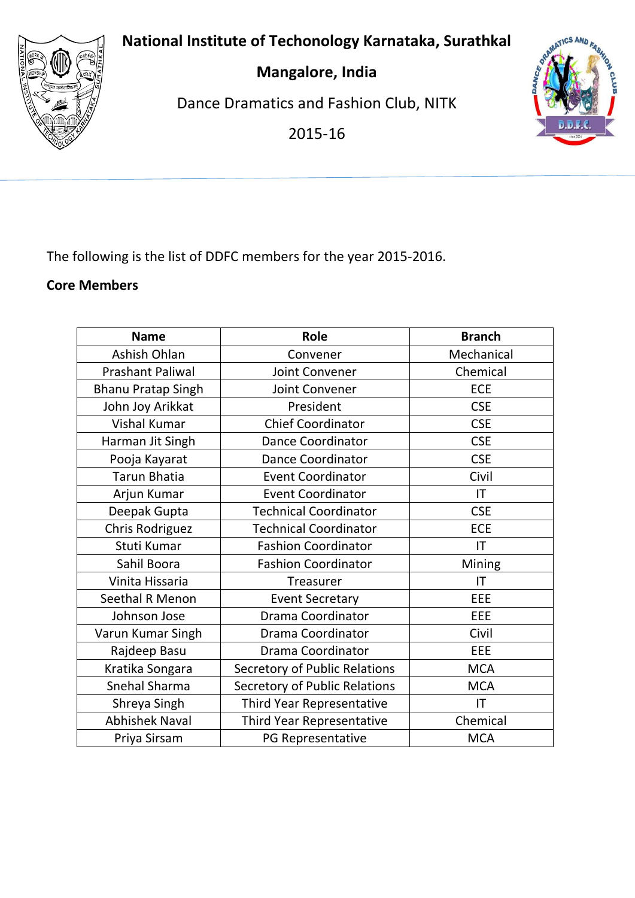**National Institute of Techonology Karnataka, Surathkal**



**Mangalore, India**

Dance Dramatics and Fashion Club, NITK

2015-16



The following is the list of DDFC members for the year 2015-2016.

#### **Core Members**

| <b>Name</b>               | Role                          | <b>Branch</b> |
|---------------------------|-------------------------------|---------------|
| Ashish Ohlan              | Convener                      | Mechanical    |
| <b>Prashant Paliwal</b>   | Joint Convener                | Chemical      |
| <b>Bhanu Pratap Singh</b> | Joint Convener                | <b>ECE</b>    |
| John Joy Arikkat          | President                     | <b>CSE</b>    |
| Vishal Kumar              | <b>Chief Coordinator</b>      | <b>CSE</b>    |
| Harman Jit Singh          | <b>Dance Coordinator</b>      | <b>CSE</b>    |
| Pooja Kayarat             | <b>Dance Coordinator</b>      | <b>CSE</b>    |
| <b>Tarun Bhatia</b>       | <b>Event Coordinator</b>      | Civil         |
| Arjun Kumar               | <b>Event Coordinator</b>      | IT            |
| Deepak Gupta              | <b>Technical Coordinator</b>  | <b>CSE</b>    |
| <b>Chris Rodriguez</b>    | <b>Technical Coordinator</b>  | <b>ECE</b>    |
| Stuti Kumar               | <b>Fashion Coordinator</b>    | IT            |
| Sahil Boora               | <b>Fashion Coordinator</b>    | Mining        |
| Vinita Hissaria           | <b>Treasurer</b>              | IT            |
| <b>Seethal R Menon</b>    | <b>Event Secretary</b>        | EEE           |
| Johnson Jose              | Drama Coordinator             | EEE           |
| Varun Kumar Singh         | Drama Coordinator             | Civil         |
| Rajdeep Basu              | Drama Coordinator             | EEE           |
| Kratika Songara           | Secretory of Public Relations | <b>MCA</b>    |
| Snehal Sharma             | Secretory of Public Relations | <b>MCA</b>    |
| Shreya Singh              | Third Year Representative     | IT            |
| <b>Abhishek Naval</b>     | Third Year Representative     | Chemical      |
| Priya Sirsam              | PG Representative             | <b>MCA</b>    |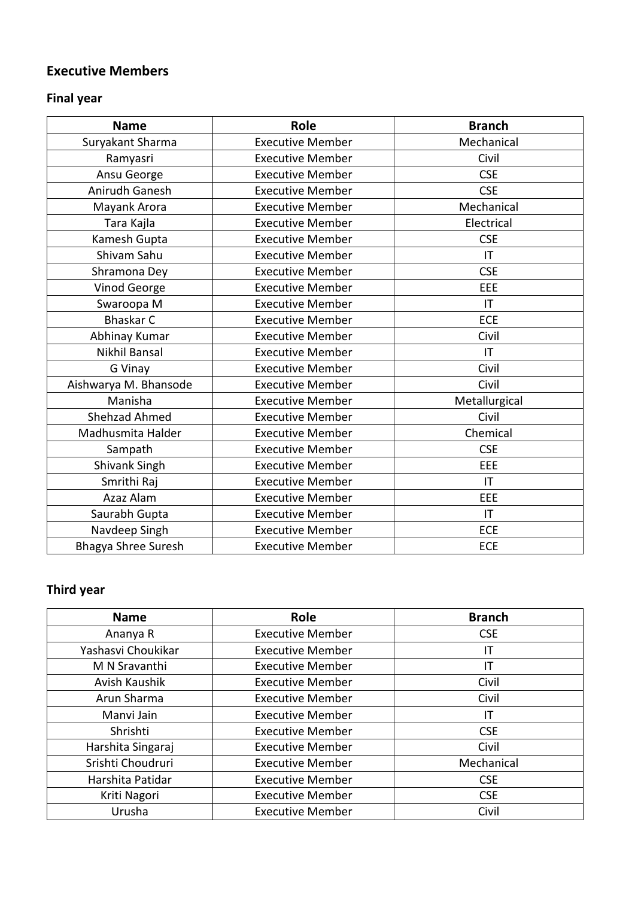#### **Executive Members**

# **Final year**

| <b>Name</b>           | <b>Role</b>             | <b>Branch</b> |
|-----------------------|-------------------------|---------------|
| Suryakant Sharma      | <b>Executive Member</b> | Mechanical    |
| Ramyasri              | <b>Executive Member</b> | Civil         |
| Ansu George           | <b>Executive Member</b> | <b>CSE</b>    |
| Anirudh Ganesh        | <b>Executive Member</b> | <b>CSE</b>    |
| Mayank Arora          | <b>Executive Member</b> | Mechanical    |
| Tara Kajla            | <b>Executive Member</b> | Electrical    |
| Kamesh Gupta          | <b>Executive Member</b> | <b>CSE</b>    |
| Shivam Sahu           | <b>Executive Member</b> | IT            |
| Shramona Dey          | <b>Executive Member</b> | <b>CSE</b>    |
| Vinod George          | <b>Executive Member</b> | EEE           |
| Swaroopa M            | <b>Executive Member</b> | IT            |
| <b>Bhaskar C</b>      | <b>Executive Member</b> | <b>ECE</b>    |
| Abhinay Kumar         | <b>Executive Member</b> | Civil         |
| Nikhil Bansal         | <b>Executive Member</b> | IT            |
| G Vinay               | <b>Executive Member</b> | Civil         |
| Aishwarya M. Bhansode | <b>Executive Member</b> | Civil         |
| Manisha               | <b>Executive Member</b> | Metallurgical |
| <b>Shehzad Ahmed</b>  | <b>Executive Member</b> | Civil         |
| Madhusmita Halder     | <b>Executive Member</b> | Chemical      |
| Sampath               | <b>Executive Member</b> | <b>CSE</b>    |
| Shivank Singh         | <b>Executive Member</b> | EEE           |
| Smrithi Raj           | <b>Executive Member</b> | IT            |
| Azaz Alam             | <b>Executive Member</b> | EEE           |
| Saurabh Gupta         | <b>Executive Member</b> | IT            |
| Navdeep Singh         | <b>Executive Member</b> | <b>ECE</b>    |
| Bhagya Shree Suresh   | <b>Executive Member</b> | ECE           |

# **Third year**

| <b>Name</b>        | Role                    | <b>Branch</b> |
|--------------------|-------------------------|---------------|
| Ananya R           | <b>Executive Member</b> | <b>CSE</b>    |
| Yashasvi Choukikar | <b>Executive Member</b> | IT            |
| M N Sravanthi      | <b>Executive Member</b> | ΙT            |
| Avish Kaushik      | <b>Executive Member</b> | Civil         |
| Arun Sharma        | <b>Executive Member</b> | Civil         |
| Manvi Jain         | <b>Executive Member</b> | ΙT            |
| Shrishti           | <b>Executive Member</b> | <b>CSE</b>    |
| Harshita Singaraj  | <b>Executive Member</b> | Civil         |
| Srishti Choudruri  | <b>Executive Member</b> | Mechanical    |
| Harshita Patidar   | <b>Executive Member</b> | <b>CSE</b>    |
| Kriti Nagori       | <b>Executive Member</b> | <b>CSE</b>    |
| Urusha             | <b>Executive Member</b> | Civil         |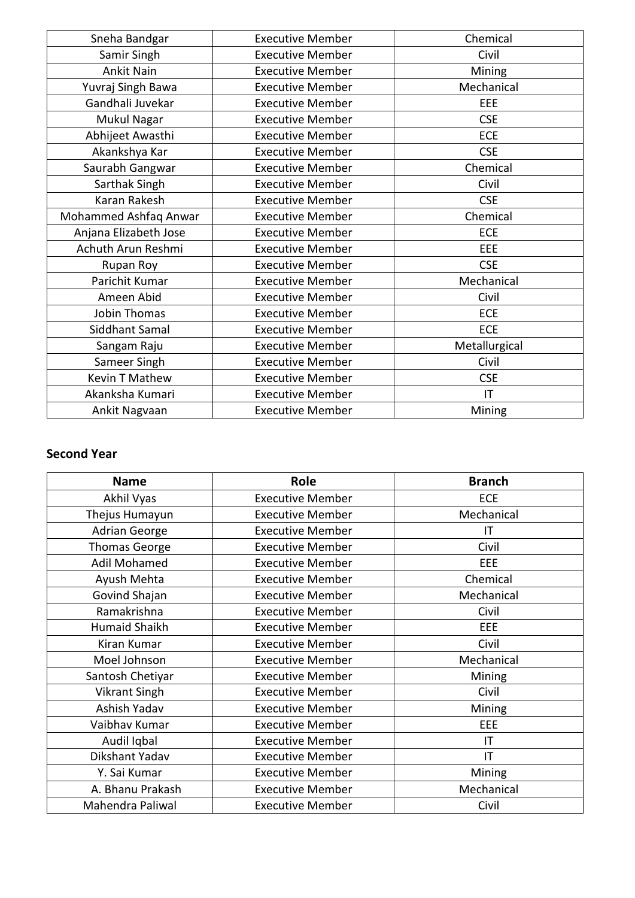| Sneha Bandgar         | <b>Executive Member</b> | Chemical      |
|-----------------------|-------------------------|---------------|
| Samir Singh           | <b>Executive Member</b> | Civil         |
| <b>Ankit Nain</b>     | <b>Executive Member</b> | Mining        |
| Yuvraj Singh Bawa     | <b>Executive Member</b> | Mechanical    |
| Gandhali Juvekar      | <b>Executive Member</b> | EEE           |
| Mukul Nagar           | <b>Executive Member</b> | <b>CSE</b>    |
| Abhijeet Awasthi      | <b>Executive Member</b> | <b>ECE</b>    |
| Akankshya Kar         | <b>Executive Member</b> | <b>CSE</b>    |
| Saurabh Gangwar       | <b>Executive Member</b> | Chemical      |
| Sarthak Singh         | <b>Executive Member</b> | Civil         |
| Karan Rakesh          | <b>Executive Member</b> | <b>CSE</b>    |
| Mohammed Ashfaq Anwar | <b>Executive Member</b> | Chemical      |
| Anjana Elizabeth Jose | <b>Executive Member</b> | ECE           |
| Achuth Arun Reshmi    | <b>Executive Member</b> | EEE           |
| Rupan Roy             | <b>Executive Member</b> | <b>CSE</b>    |
| Parichit Kumar        | <b>Executive Member</b> | Mechanical    |
| Ameen Abid            | <b>Executive Member</b> | Civil         |
| Jobin Thomas          | <b>Executive Member</b> | <b>ECE</b>    |
| Siddhant Samal        | <b>Executive Member</b> | <b>ECE</b>    |
| Sangam Raju           | <b>Executive Member</b> | Metallurgical |
| Sameer Singh          | <b>Executive Member</b> | Civil         |
| <b>Kevin T Mathew</b> | <b>Executive Member</b> | <b>CSE</b>    |
| Akanksha Kumari       | <b>Executive Member</b> | IT            |
| Ankit Nagvaan         | <b>Executive Member</b> | Mining        |

#### **Second Year**

| <b>Name</b>          | Role                    | <b>Branch</b> |
|----------------------|-------------------------|---------------|
| Akhil Vyas           | <b>Executive Member</b> | ECE           |
| Thejus Humayun       | <b>Executive Member</b> | Mechanical    |
| <b>Adrian George</b> | <b>Executive Member</b> | ΙT            |
| <b>Thomas George</b> | <b>Executive Member</b> | Civil         |
| <b>Adil Mohamed</b>  | <b>Executive Member</b> | <b>EEE</b>    |
| Ayush Mehta          | <b>Executive Member</b> | Chemical      |
| Govind Shajan        | <b>Executive Member</b> | Mechanical    |
| Ramakrishna          | <b>Executive Member</b> | Civil         |
| <b>Humaid Shaikh</b> | <b>Executive Member</b> | <b>EEE</b>    |
| Kiran Kumar          | <b>Executive Member</b> | Civil         |
| Moel Johnson         | <b>Executive Member</b> | Mechanical    |
| Santosh Chetiyar     | <b>Executive Member</b> | Mining        |
| <b>Vikrant Singh</b> | <b>Executive Member</b> | Civil         |
| Ashish Yadav         | <b>Executive Member</b> | Mining        |
| Vaibhav Kumar        | <b>Executive Member</b> | EEE           |
| Audil Iqbal          | <b>Executive Member</b> | IT            |
| Dikshant Yadav       | <b>Executive Member</b> | IT            |
| Y. Sai Kumar         | <b>Executive Member</b> | Mining        |
| A. Bhanu Prakash     | <b>Executive Member</b> | Mechanical    |
| Mahendra Paliwal     | <b>Executive Member</b> | Civil         |